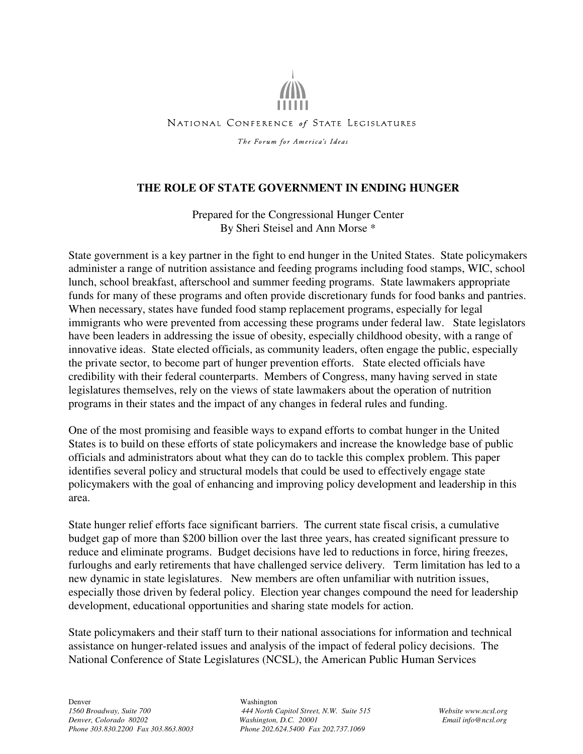NATIONAL CONFERENCE of STATE LEGISLATURES The Forum for America's Ideas

# **THE ROLE OF STATE GOVERNMENT IN ENDING HUNGER**

Prepared for the Congressional Hunger Center By Sheri Steisel and Ann Morse \*

State government is a key partner in the fight to end hunger in the United States. State policymakers administer a range of nutrition assistance and feeding programs including food stamps, WIC, school lunch, school breakfast, afterschool and summer feeding programs. State lawmakers appropriate funds for many of these programs and often provide discretionary funds for food banks and pantries. When necessary, states have funded food stamp replacement programs, especially for legal immigrants who were prevented from accessing these programs under federal law. State legislators have been leaders in addressing the issue of obesity, especially childhood obesity, with a range of innovative ideas. State elected officials, as community leaders, often engage the public, especially the private sector, to become part of hunger prevention efforts. State elected officials have credibility with their federal counterparts. Members of Congress, many having served in state legislatures themselves, rely on the views of state lawmakers about the operation of nutrition programs in their states and the impact of any changes in federal rules and funding.

One of the most promising and feasible ways to expand efforts to combat hunger in the United States is to build on these efforts of state policymakers and increase the knowledge base of public officials and administrators about what they can do to tackle this complex problem. This paper identifies several policy and structural models that could be used to effectively engage state policymakers with the goal of enhancing and improving policy development and leadership in this area.

State hunger relief efforts face significant barriers. The current state fiscal crisis, a cumulative budget gap of more than \$200 billion over the last three years, has created significant pressure to reduce and eliminate programs. Budget decisions have led to reductions in force, hiring freezes, furloughs and early retirements that have challenged service delivery. Term limitation has led to a new dynamic in state legislatures. New members are often unfamiliar with nutrition issues, especially those driven by federal policy. Election year changes compound the need for leadership development, educational opportunities and sharing state models for action.

State policymakers and their staff turn to their national associations for information and technical assistance on hunger-related issues and analysis of the impact of federal policy decisions. The National Conference of State Legislatures (NCSL), the American Public Human Services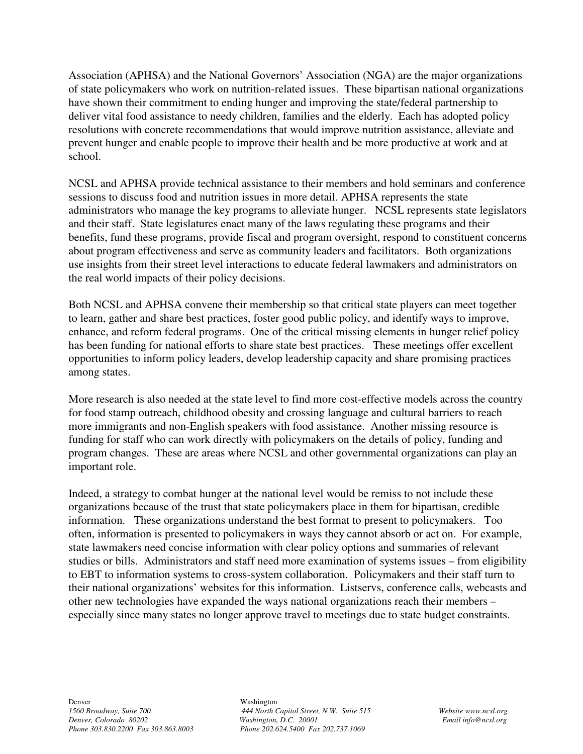Association (APHSA) and the National Governors' Association (NGA) are the major organizations of state policymakers who work on nutrition-related issues. These bipartisan national organizations have shown their commitment to ending hunger and improving the state/federal partnership to deliver vital food assistance to needy children, families and the elderly. Each has adopted policy resolutions with concrete recommendations that would improve nutrition assistance, alleviate and prevent hunger and enable people to improve their health and be more productive at work and at school.

NCSL and APHSA provide technical assistance to their members and hold seminars and conference sessions to discuss food and nutrition issues in more detail. APHSA represents the state administrators who manage the key programs to alleviate hunger. NCSL represents state legislators and their staff. State legislatures enact many of the laws regulating these programs and their benefits, fund these programs, provide fiscal and program oversight, respond to constituent concerns about program effectiveness and serve as community leaders and facilitators. Both organizations use insights from their street level interactions to educate federal lawmakers and administrators on the real world impacts of their policy decisions.

Both NCSL and APHSA convene their membership so that critical state players can meet together to learn, gather and share best practices, foster good public policy, and identify ways to improve, enhance, and reform federal programs. One of the critical missing elements in hunger relief policy has been funding for national efforts to share state best practices. These meetings offer excellent opportunities to inform policy leaders, develop leadership capacity and share promising practices among states.

More research is also needed at the state level to find more cost-effective models across the country for food stamp outreach, childhood obesity and crossing language and cultural barriers to reach more immigrants and non-English speakers with food assistance. Another missing resource is funding for staff who can work directly with policymakers on the details of policy, funding and program changes. These are areas where NCSL and other governmental organizations can play an important role.

Indeed, a strategy to combat hunger at the national level would be remiss to not include these organizations because of the trust that state policymakers place in them for bipartisan, credible information. These organizations understand the best format to present to policymakers. Too often, information is presented to policymakers in ways they cannot absorb or act on. For example, state lawmakers need concise information with clear policy options and summaries of relevant studies or bills. Administrators and staff need more examination of systems issues – from eligibility to EBT to information systems to cross-system collaboration. Policymakers and their staff turn to their national organizations' websites for this information. Listservs, conference calls, webcasts and other new technologies have expanded the ways national organizations reach their members – especially since many states no longer approve travel to meetings due to state budget constraints.

*1560 Broadway, Suite 700 444 North Capitol Street, N.W. Suite 515 Website www.ncsl.org Denver, Colorado 80202 Washington, D.C. 20001 Email info@ncsl.org*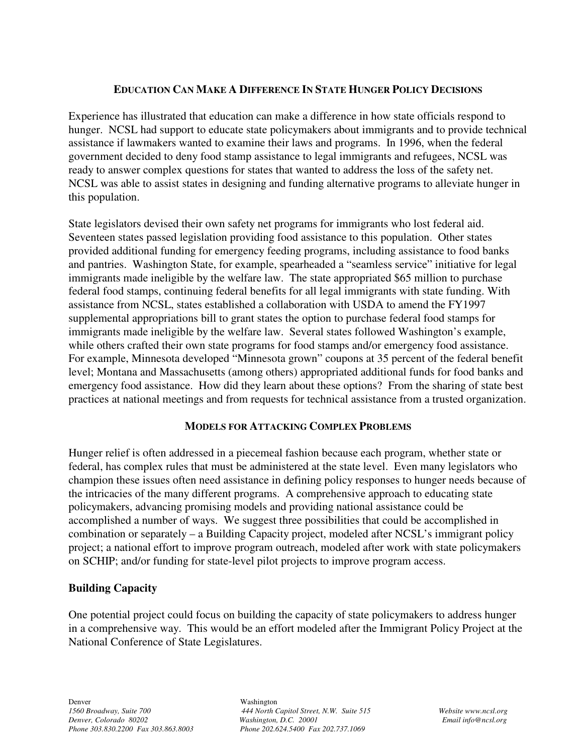# **EDUCATION CAN MAKE A DIFFERENCE IN STATE HUNGER POLICY DECISIONS**

Experience has illustrated that education can make a difference in how state officials respond to hunger. NCSL had support to educate state policymakers about immigrants and to provide technical assistance if lawmakers wanted to examine their laws and programs. In 1996, when the federal government decided to deny food stamp assistance to legal immigrants and refugees, NCSL was ready to answer complex questions for states that wanted to address the loss of the safety net. NCSL was able to assist states in designing and funding alternative programs to alleviate hunger in this population.

State legislators devised their own safety net programs for immigrants who lost federal aid. Seventeen states passed legislation providing food assistance to this population. Other states provided additional funding for emergency feeding programs, including assistance to food banks and pantries. Washington State, for example, spearheaded a "seamless service" initiative for legal immigrants made ineligible by the welfare law. The state appropriated \$65 million to purchase federal food stamps, continuing federal benefits for all legal immigrants with state funding. With assistance from NCSL, states established a collaboration with USDA to amend the FY1997 supplemental appropriations bill to grant states the option to purchase federal food stamps for immigrants made ineligible by the welfare law. Several states followed Washington's example, while others crafted their own state programs for food stamps and/or emergency food assistance. For example, Minnesota developed "Minnesota grown" coupons at 35 percent of the federal benefit level; Montana and Massachusetts (among others) appropriated additional funds for food banks and emergency food assistance. How did they learn about these options? From the sharing of state best practices at national meetings and from requests for technical assistance from a trusted organization.

## **MODELS FOR ATTACKING COMPLEX PROBLEMS**

Hunger relief is often addressed in a piecemeal fashion because each program, whether state or federal, has complex rules that must be administered at the state level. Even many legislators who champion these issues often need assistance in defining policy responses to hunger needs because of the intricacies of the many different programs. A comprehensive approach to educating state policymakers, advancing promising models and providing national assistance could be accomplished a number of ways. We suggest three possibilities that could be accomplished in combination or separately – a Building Capacity project, modeled after NCSL's immigrant policy project; a national effort to improve program outreach, modeled after work with state policymakers on SCHIP; and/or funding for state-level pilot projects to improve program access.

## **Building Capacity**

One potential project could focus on building the capacity of state policymakers to address hunger in a comprehensive way. This would be an effort modeled after the Immigrant Policy Project at the National Conference of State Legislatures.

*1560 Broadway, Suite 700 444 North Capitol Street, N.W. Suite 515 Website www.ncsl.org Denver, Colorado 80202 Washington, D.C. 20001 Email info@ncsl.org*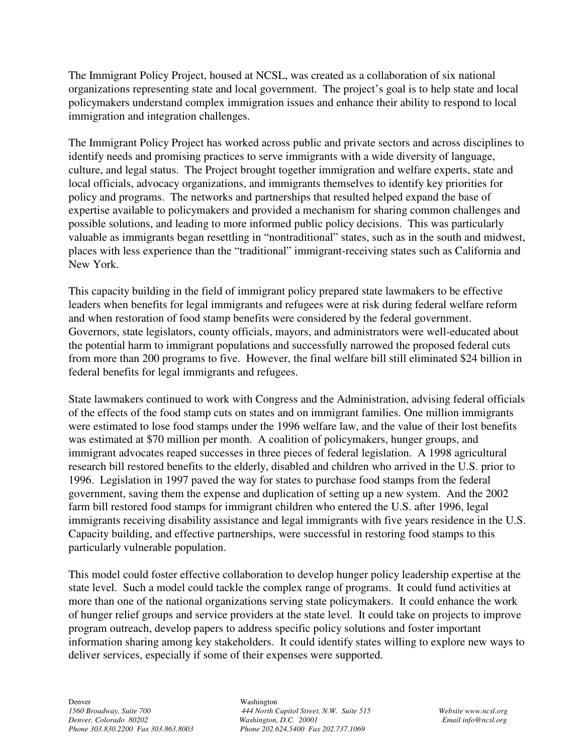The Immigrant Policy Project, housed at NCSL, was created as a collaboration of six national organizations representing state and local government. The project's goal is to help state and local policymakers understand complex immigration issues and enhance their ability to respond to local immigration and integration challenges.

The Immigrant Policy Project has worked across public and private sectors and across disciplines to identify needs and promising practices to serve immigrants with a wide diversity of language, culture, and legal status. The Project brought together immigration and welfare experts, state and local officials, advocacy organizations, and immigrants themselves to identify key priorities for policy and programs. The networks and partnerships that resulted helped expand the base of expertise available to policymakers and provided a mechanism for sharing common challenges and possible solutions, and leading to more informed public policy decisions. This was particularly valuable as immigrants began resettling in "nontraditional" states, such as in the south and midwest, places with less experience than the "traditional" immigrant-receiving states such as California and New York.

This capacity building in the field of immigrant policy prepared state lawmakers to be effective leaders when benefits for legal immigrants and refugees were at risk during federal welfare reform and when restoration of food stamp benefits were considered by the federal government. Governors, state legislators, county officials, mayors, and administrators were well-educated about the potential harm to immigrant populations and successfully narrowed the proposed federal cuts from more than 200 programs to five. However, the final welfare bill still eliminated \$24 billion in federal benefits for legal immigrants and refugees.

State lawmakers continued to work with Congress and the Administration, advising federal officials of the effects of the food stamp cuts on states and on immigrant families. One million immigrants were estimated to lose food stamps under the 1996 welfare law, and the value of their lost benefits was estimated at \$70 million per month. A coalition of policymakers, hunger groups, and immigrant advocates reaped successes in three pieces of federal legislation. A 1998 agricultural research bill restored benefits to the elderly, disabled and children who arrived in the U.S. prior to 1996. Legislation in 1997 paved the way for states to purchase food stamps from the federal government, saving them the expense and duplication of setting up a new system. And the 2002 farm bill restored food stamps for immigrant children who entered the U.S. after 1996, legal immigrants receiving disability assistance and legal immigrants with five years residence in the U.S. Capacity building, and effective partnerships, were successful in restoring food stamps to this particularly vulnerable population.

This model could foster effective collaboration to develop hunger policy leadership expertise at the state level. Such a model could tackle the complex range of programs. It could fund activities at more than one of the national organizations serving state policymakers. It could enhance the work of hunger relief groups and service providers at the state level. It could take on projects to improve program outreach, develop papers to address specific policy solutions and foster important information sharing among key stakeholders. It could identify states willing to explore new ways to deliver services, especially if some of their expenses were supported.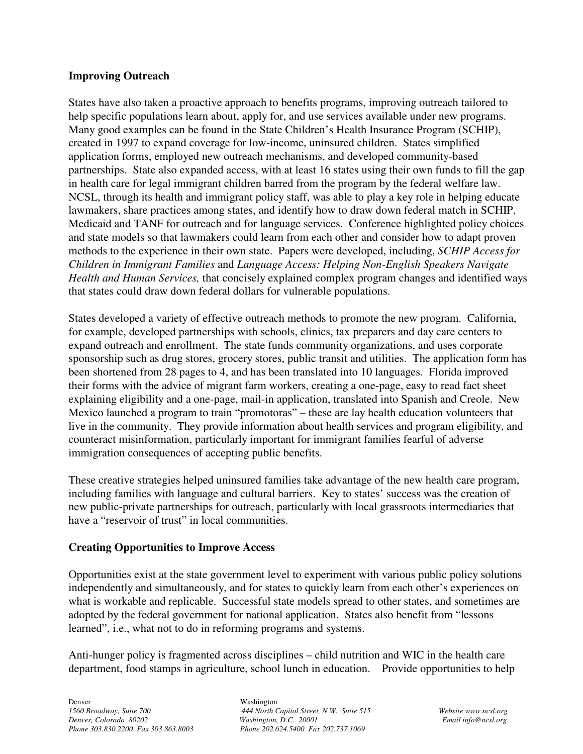#### **Improving Outreach**

States have also taken a proactive approach to benefits programs, improving outreach tailored to help specific populations learn about, apply for, and use services available under new programs. Many good examples can be found in the State Children's Health Insurance Program (SCHIP), created in 1997 to expand coverage for low-income, uninsured children. States simplified application forms, employed new outreach mechanisms, and developed community-based partnerships. State also expanded access, with at least 16 states using their own funds to fill the gap in health care for legal immigrant children barred from the program by the federal welfare law. NCSL, through its health and immigrant policy staff, was able to play a key role in helping educate lawmakers, share practices among states, and identify how to draw down federal match in SCHIP, Medicaid and TANF for outreach and for language services. Conference highlighted policy choices and state models so that lawmakers could learn from each other and consider how to adapt proven methods to the experience in their own state. Papers were developed, including, *SCHIP Access for Children in Immigrant Families* and *Language Access: Helping Non-English Speakers Navigate Health and Human Services,* that concisely explained complex program changes and identified ways that states could draw down federal dollars for vulnerable populations.

States developed a variety of effective outreach methods to promote the new program. California, for example, developed partnerships with schools, clinics, tax preparers and day care centers to expand outreach and enrollment. The state funds community organizations, and uses corporate sponsorship such as drug stores, grocery stores, public transit and utilities. The application form has been shortened from 28 pages to 4, and has been translated into 10 languages. Florida improved their forms with the advice of migrant farm workers, creating a one-page, easy to read fact sheet explaining eligibility and a one-page, mail-in application, translated into Spanish and Creole. New Mexico launched a program to train "promotoras" – these are lay health education volunteers that live in the community. They provide information about health services and program eligibility, and counteract misinformation, particularly important for immigrant families fearful of adverse immigration consequences of accepting public benefits.

These creative strategies helped uninsured families take advantage of the new health care program, including families with language and cultural barriers. Key to states' success was the creation of new public-private partnerships for outreach, particularly with local grassroots intermediaries that have a "reservoir of trust" in local communities.

## **Creating Opportunities to Improve Access**

Opportunities exist at the state government level to experiment with various public policy solutions independently and simultaneously, and for states to quickly learn from each other's experiences on what is workable and replicable. Successful state models spread to other states, and sometimes are adopted by the federal government for national application. States also benefit from "lessons learned", i.e., what not to do in reforming programs and systems.

Anti-hunger policy is fragmented across disciplines – child nutrition and WIC in the health care department, food stamps in agriculture, school lunch in education. Provide opportunities to help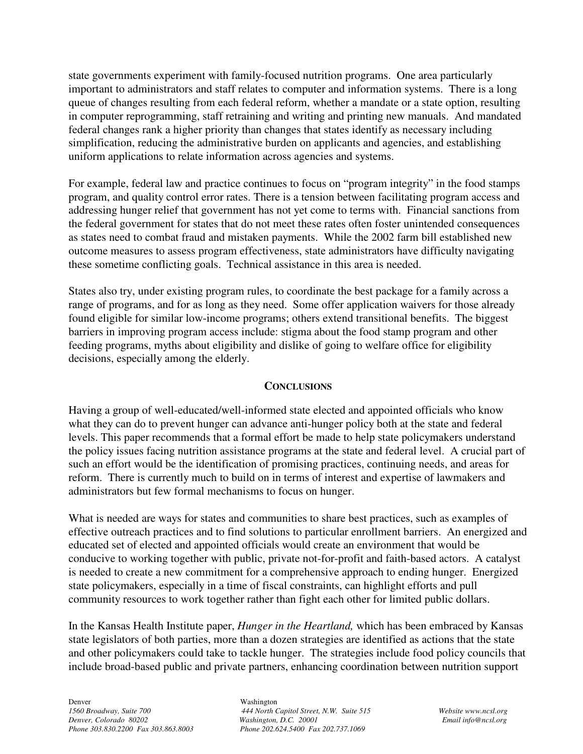state governments experiment with family-focused nutrition programs. One area particularly important to administrators and staff relates to computer and information systems. There is a long queue of changes resulting from each federal reform, whether a mandate or a state option, resulting in computer reprogramming, staff retraining and writing and printing new manuals. And mandated federal changes rank a higher priority than changes that states identify as necessary including simplification, reducing the administrative burden on applicants and agencies, and establishing uniform applications to relate information across agencies and systems.

For example, federal law and practice continues to focus on "program integrity" in the food stamps program, and quality control error rates. There is a tension between facilitating program access and addressing hunger relief that government has not yet come to terms with. Financial sanctions from the federal government for states that do not meet these rates often foster unintended consequences as states need to combat fraud and mistaken payments. While the 2002 farm bill established new outcome measures to assess program effectiveness, state administrators have difficulty navigating these sometime conflicting goals. Technical assistance in this area is needed.

States also try, under existing program rules, to coordinate the best package for a family across a range of programs, and for as long as they need. Some offer application waivers for those already found eligible for similar low-income programs; others extend transitional benefits. The biggest barriers in improving program access include: stigma about the food stamp program and other feeding programs, myths about eligibility and dislike of going to welfare office for eligibility decisions, especially among the elderly.

## **CONCLUSIONS**

Having a group of well-educated/well-informed state elected and appointed officials who know what they can do to prevent hunger can advance anti-hunger policy both at the state and federal levels. This paper recommends that a formal effort be made to help state policymakers understand the policy issues facing nutrition assistance programs at the state and federal level. A crucial part of such an effort would be the identification of promising practices, continuing needs, and areas for reform. There is currently much to build on in terms of interest and expertise of lawmakers and administrators but few formal mechanisms to focus on hunger.

What is needed are ways for states and communities to share best practices, such as examples of effective outreach practices and to find solutions to particular enrollment barriers. An energized and educated set of elected and appointed officials would create an environment that would be conducive to working together with public, private not-for-profit and faith-based actors. A catalyst is needed to create a new commitment for a comprehensive approach to ending hunger. Energized state policymakers, especially in a time of fiscal constraints, can highlight efforts and pull community resources to work together rather than fight each other for limited public dollars.

In the Kansas Health Institute paper, *Hunger in the Heartland,* which has been embraced by Kansas state legislators of both parties, more than a dozen strategies are identified as actions that the state and other policymakers could take to tackle hunger. The strategies include food policy councils that include broad-based public and private partners, enhancing coordination between nutrition support